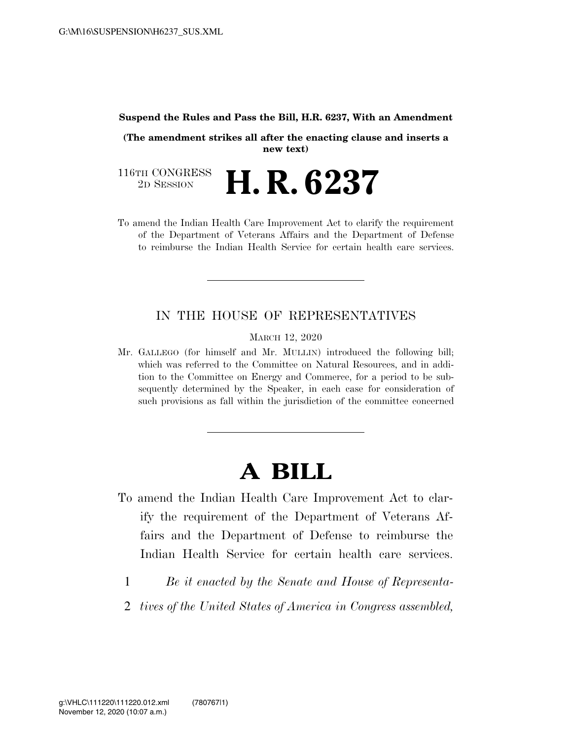## **Suspend the Rules and Pass the Bill, H.R. 6237, With an Amendment**

**(The amendment strikes all after the enacting clause and inserts a new text)** 

116TH CONGRESS<br>2D SESSION 2D SESSION **H. R. 6237** 

To amend the Indian Health Care Improvement Act to clarify the requirement of the Department of Veterans Affairs and the Department of Defense to reimburse the Indian Health Service for certain health care services.

## IN THE HOUSE OF REPRESENTATIVES

MARCH 12, 2020

Mr. GALLEGO (for himself and Mr. MULLIN) introduced the following bill; which was referred to the Committee on Natural Resources, and in addition to the Committee on Energy and Commerce, for a period to be subsequently determined by the Speaker, in each case for consideration of such provisions as fall within the jurisdiction of the committee concerned

## **A BILL**

- To amend the Indian Health Care Improvement Act to clarify the requirement of the Department of Veterans Affairs and the Department of Defense to reimburse the Indian Health Service for certain health care services.
	- 1 *Be it enacted by the Senate and House of Representa-*
	- 2 *tives of the United States of America in Congress assembled,*